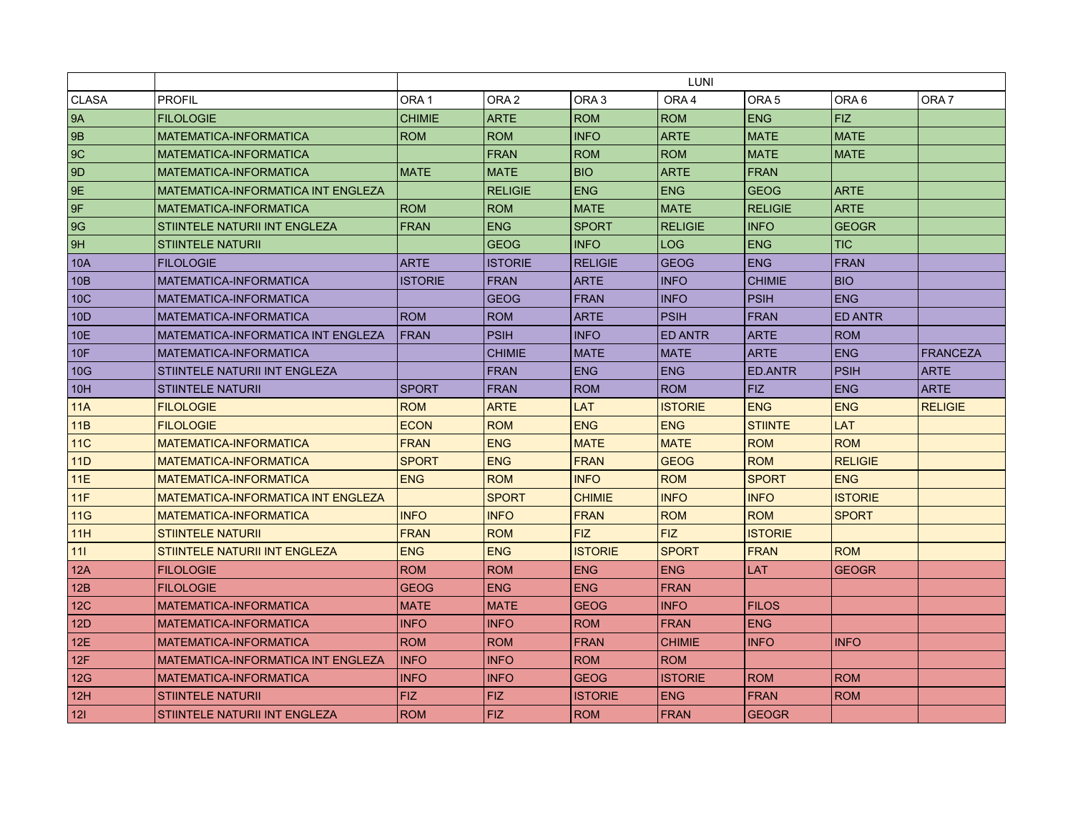|                 |                                           | LUNI             |                  |                  |                  |                  |                  |                  |
|-----------------|-------------------------------------------|------------------|------------------|------------------|------------------|------------------|------------------|------------------|
| <b>CLASA</b>    | <b>PROFIL</b>                             | ORA <sub>1</sub> | ORA <sub>2</sub> | ORA <sub>3</sub> | ORA <sub>4</sub> | ORA <sub>5</sub> | ORA <sub>6</sub> | ORA <sub>7</sub> |
| <b>9A</b>       | <b>FILOLOGIE</b>                          | <b>CHIMIE</b>    | <b>ARTE</b>      | <b>ROM</b>       | <b>ROM</b>       | <b>ENG</b>       | <b>FIZ</b>       |                  |
| 9 <sub>B</sub>  | MATEMATICA-INFORMATICA                    | <b>ROM</b>       | <b>ROM</b>       | <b>INFO</b>      | <b>ARTE</b>      | <b>MATE</b>      | <b>MATE</b>      |                  |
| 9C              | <b>MATEMATICA-INFORMATICA</b>             |                  | <b>FRAN</b>      | <b>ROM</b>       | <b>ROM</b>       | <b>MATE</b>      | <b>MATE</b>      |                  |
| 9 <sub>D</sub>  | <b>MATEMATICA-INFORMATICA</b>             | <b>MATE</b>      | <b>MATE</b>      | <b>BIO</b>       | <b>ARTE</b>      | FRAN             |                  |                  |
| 9E              | MATEMATICA-INFORMATICA INT ENGLEZA        |                  | <b>RELIGIE</b>   | <b>ENG</b>       | <b>ENG</b>       | <b>GEOG</b>      | <b>ARTE</b>      |                  |
| 9F              | MATEMATICA-INFORMATICA                    | <b>ROM</b>       | <b>ROM</b>       | <b>MATE</b>      | <b>MATE</b>      | <b>RELIGIE</b>   | <b>ARTE</b>      |                  |
| 9G              | STIINTELE NATURII INT ENGLEZA             | <b>FRAN</b>      | <b>ENG</b>       | <b>SPORT</b>     | <b>RELIGIE</b>   | <b>INFO</b>      | <b>GEOGR</b>     |                  |
| 9H              | <b>STIINTELE NATURII</b>                  |                  | <b>GEOG</b>      | <b>INFO</b>      | <b>LOG</b>       | <b>ENG</b>       | <b>TIC</b>       |                  |
| <b>10A</b>      | <b>FILOLOGIE</b>                          | <b>ARTE</b>      | <b>ISTORIE</b>   | <b>RELIGIE</b>   | <b>GEOG</b>      | <b>ENG</b>       | <b>FRAN</b>      |                  |
| 10B             | MATEMATICA-INFORMATICA                    | <b>ISTORIE</b>   | <b>FRAN</b>      | <b>ARTE</b>      | <b>INFO</b>      | <b>CHIMIE</b>    | <b>BIO</b>       |                  |
| 10 <sub>C</sub> | MATEMATICA-INFORMATICA                    |                  | <b>GEOG</b>      | <b>FRAN</b>      | <b>INFO</b>      | <b>PSIH</b>      | <b>ENG</b>       |                  |
| 10 <sub>D</sub> | MATEMATICA-INFORMATICA                    | <b>ROM</b>       | <b>ROM</b>       | <b>ARTE</b>      | <b>PSIH</b>      | <b>FRAN</b>      | <b>ED ANTR</b>   |                  |
| 10E             | MATEMATICA-INFORMATICA INT ENGLEZA        | <b>FRAN</b>      | <b>PSIH</b>      | <b>INFO</b>      | <b>ED ANTR</b>   | <b>ARTE</b>      | <b>ROM</b>       |                  |
| 10 <sub>F</sub> | MATEMATICA-INFORMATICA                    |                  | <b>CHIMIE</b>    | <b>MATE</b>      | <b>MATE</b>      | <b>ARTE</b>      | <b>ENG</b>       | <b>FRANCEZA</b>  |
| 10G             | STIINTELE NATURII INT ENGLEZA             |                  | <b>FRAN</b>      | <b>ENG</b>       | <b>ENG</b>       | <b>ED.ANTR</b>   | <b>PSIH</b>      | <b>ARTE</b>      |
| 10H             | <b>STIINTELE NATURII</b>                  | <b>SPORT</b>     | <b>FRAN</b>      | <b>ROM</b>       | <b>ROM</b>       | <b>FIZ</b>       | <b>ENG</b>       | <b>ARTE</b>      |
| 11A             | <b>FILOLOGIE</b>                          | <b>ROM</b>       | <b>ARTE</b>      | <b>LAT</b>       | <b>ISTORIE</b>   | <b>ENG</b>       | <b>ENG</b>       | <b>RELIGIE</b>   |
| 11B             | <b>FILOLOGIE</b>                          | <b>ECON</b>      | <b>ROM</b>       | <b>ENG</b>       | <b>ENG</b>       | <b>STIINTE</b>   | LAT              |                  |
| 11C             | <b>MATEMATICA-INFORMATICA</b>             | <b>FRAN</b>      | <b>ENG</b>       | <b>MATE</b>      | <b>MATE</b>      | <b>ROM</b>       | <b>ROM</b>       |                  |
| 11D             | <b>MATEMATICA-INFORMATICA</b>             | <b>SPORT</b>     | <b>ENG</b>       | <b>FRAN</b>      | <b>GEOG</b>      | <b>ROM</b>       | <b>RELIGIE</b>   |                  |
| 11E             | <b>MATEMATICA-INFORMATICA</b>             | <b>ENG</b>       | <b>ROM</b>       | <b>INFO</b>      | <b>ROM</b>       | <b>SPORT</b>     | <b>ENG</b>       |                  |
| 11F             | <b>MATEMATICA-INFORMATICA INT ENGLEZA</b> |                  | <b>SPORT</b>     | <b>CHIMIE</b>    | <b>INFO</b>      | <b>INFO</b>      | <b>ISTORIE</b>   |                  |
| 11G             | <b>MATEMATICA-INFORMATICA</b>             | <b>INFO</b>      | <b>INFO</b>      | <b>FRAN</b>      | <b>ROM</b>       | <b>ROM</b>       | <b>SPORT</b>     |                  |
| 11H             | <b>STIINTELE NATURII</b>                  | <b>FRAN</b>      | <b>ROM</b>       | <b>FIZ</b>       | <b>FIZ</b>       | <b>ISTORIE</b>   |                  |                  |
| $111$           | <b>STIINTELE NATURII INT ENGLEZA</b>      | <b>ENG</b>       | <b>ENG</b>       | <b>ISTORIE</b>   | <b>SPORT</b>     | <b>FRAN</b>      | <b>ROM</b>       |                  |
| 12A             | <b>FILOLOGIE</b>                          | <b>ROM</b>       | <b>ROM</b>       | <b>ENG</b>       | <b>ENG</b>       | <b>LAT</b>       | <b>GEOGR</b>     |                  |
| 12B             | <b>FILOLOGIE</b>                          | <b>GEOG</b>      | <b>ENG</b>       | <b>ENG</b>       | <b>FRAN</b>      |                  |                  |                  |
| 12C             | <b>MATEMATICA-INFORMATICA</b>             | <b>MATE</b>      | <b>MATE</b>      | <b>GEOG</b>      | <b>INFO</b>      | <b>FILOS</b>     |                  |                  |
| 12D             | MATEMATICA-INFORMATICA                    | <b>INFO</b>      | <b>INFO</b>      | <b>ROM</b>       | <b>FRAN</b>      | <b>ENG</b>       |                  |                  |
| 12E             | <b>MATEMATICA-INFORMATICA</b>             | <b>ROM</b>       | <b>ROM</b>       | <b>FRAN</b>      | <b>CHIMIE</b>    | <b>INFO</b>      | <b>INFO</b>      |                  |
| 12F             | <b>MATEMATICA-INFORMATICA INT ENGLEZA</b> | <b>INFO</b>      | <b>INFO</b>      | <b>ROM</b>       | <b>ROM</b>       |                  |                  |                  |
| 12G             | MATEMATICA-INFORMATICA                    | <b>INFO</b>      | <b>INFO</b>      | <b>GEOG</b>      | <b>ISTORIE</b>   | <b>ROM</b>       | <b>ROM</b>       |                  |
| 12H             | <b>STIINTELE NATURII</b>                  | <b>FIZ</b>       | <b>FIZ</b>       | <b>ISTORIE</b>   | <b>ENG</b>       | <b>FRAN</b>      | <b>ROM</b>       |                  |
| 12 <sub>l</sub> | STIINTELE NATURII INT ENGLEZA             | <b>ROM</b>       | <b>FIZ</b>       | <b>ROM</b>       | <b>FRAN</b>      | <b>GEOGR</b>     |                  |                  |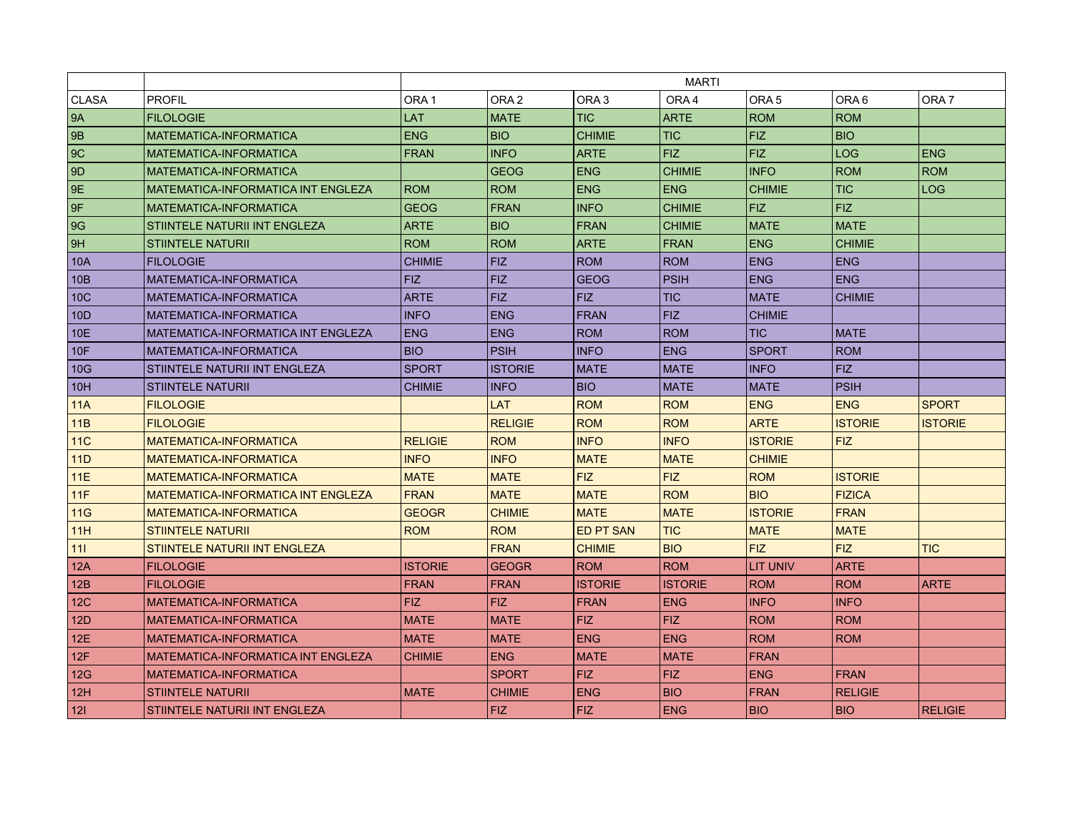|                 |                                           | <b>MARTI</b>     |                  |                  |                |                  |                  |                  |
|-----------------|-------------------------------------------|------------------|------------------|------------------|----------------|------------------|------------------|------------------|
| <b>CLASA</b>    | <b>PROFIL</b>                             | ORA <sub>1</sub> | ORA <sub>2</sub> | ORA <sub>3</sub> | ORA4           | ORA <sub>5</sub> | ORA <sub>6</sub> | ORA <sub>7</sub> |
| 9A              | <b>FILOLOGIE</b>                          | LAT              | <b>MATE</b>      | <b>TIC</b>       | <b>ARTE</b>    | <b>ROM</b>       | <b>ROM</b>       |                  |
| 9B              | MATEMATICA-INFORMATICA                    | <b>ENG</b>       | <b>BIO</b>       | <b>CHIMIE</b>    | <b>TIC</b>     | FIZ.             | <b>BIO</b>       |                  |
| 9C              | MATEMATICA-INFORMATICA                    | <b>FRAN</b>      | <b>INFO</b>      | <b>ARTE</b>      | <b>FIZ</b>     | <b>FIZ</b>       | <b>LOG</b>       | <b>ENG</b>       |
| 9D              | MATEMATICA-INFORMATICA                    |                  | <b>GEOG</b>      | <b>ENG</b>       | <b>CHIMIE</b>  | <b>INFO</b>      | <b>ROM</b>       | <b>ROM</b>       |
| 9E              | MATEMATICA-INFORMATICA INT ENGLEZA        | <b>ROM</b>       | <b>ROM</b>       | <b>ENG</b>       | <b>ENG</b>     | <b>CHIMIE</b>    | <b>TIC</b>       | <b>LOG</b>       |
| 9F              | MATEMATICA-INFORMATICA                    | <b>GEOG</b>      | <b>FRAN</b>      | <b>INFO</b>      | <b>CHIMIE</b>  | <b>FIZ</b>       | <b>FIZ</b>       |                  |
| 9G              | STIINTELE NATURII INT ENGLEZA             | <b>ARTE</b>      | <b>BIO</b>       | <b>FRAN</b>      | <b>CHIMIE</b>  | <b>MATE</b>      | <b>MATE</b>      |                  |
| 9H              | <b>STIINTELE NATURII</b>                  | <b>ROM</b>       | <b>ROM</b>       | <b>ARTE</b>      | <b>FRAN</b>    | <b>ENG</b>       | <b>CHIMIE</b>    |                  |
| 10A             | <b>FILOLOGIE</b>                          | <b>CHIMIE</b>    | <b>FIZ</b>       | <b>ROM</b>       | <b>ROM</b>     | <b>ENG</b>       | <b>ENG</b>       |                  |
| 10 <sub>B</sub> | MATEMATICA-INFORMATICA                    | <b>FIZ</b>       | <b>FIZ</b>       | <b>GEOG</b>      | <b>PSIH</b>    | <b>ENG</b>       | <b>ENG</b>       |                  |
| 10 <sub>C</sub> | MATEMATICA-INFORMATICA                    | <b>ARTE</b>      | <b>FIZ</b>       | <b>FIZ</b>       | <b>TIC</b>     | <b>MATE</b>      | <b>CHIMIE</b>    |                  |
| 10 <sub>D</sub> | MATEMATICA-INFORMATICA                    | <b>INFO</b>      | <b>ENG</b>       | <b>FRAN</b>      | <b>FIZ</b>     | <b>CHIMIE</b>    |                  |                  |
| 10E             | MATEMATICA-INFORMATICA INT ENGLEZA        | <b>ENG</b>       | <b>ENG</b>       | <b>ROM</b>       | <b>ROM</b>     | <b>TIC</b>       | <b>MATE</b>      |                  |
| 10F             | MATEMATICA-INFORMATICA                    | <b>BIO</b>       | <b>PSIH</b>      | <b>INFO</b>      | <b>ENG</b>     | <b>SPORT</b>     | <b>ROM</b>       |                  |
| 10G             | STIINTELE NATURII INT ENGLEZA             | <b>SPORT</b>     | <b>ISTORIE</b>   | <b>MATE</b>      | <b>MATE</b>    | <b>INFO</b>      | FIZ              |                  |
| 10H             | <b>STIINTELE NATURII</b>                  | <b>CHIMIE</b>    | <b>INFO</b>      | <b>BIO</b>       | <b>MATE</b>    | <b>MATE</b>      | <b>PSIH</b>      |                  |
| 11A             | <b>FILOLOGIE</b>                          |                  | <b>LAT</b>       | <b>ROM</b>       | <b>ROM</b>     | <b>ENG</b>       | <b>ENG</b>       | <b>SPORT</b>     |
| 11B             | <b>FILOLOGIE</b>                          |                  | <b>RELIGIE</b>   | <b>ROM</b>       | <b>ROM</b>     | <b>ARTE</b>      | <b>ISTORIE</b>   | <b>ISTORIE</b>   |
| 11C             | MATEMATICA-INFORMATICA                    | <b>RELIGIE</b>   | <b>ROM</b>       | <b>INFO</b>      | <b>INFO</b>    | <b>ISTORIE</b>   | <b>FIZ</b>       |                  |
| 11D             | MATEMATICA-INFORMATICA                    | <b>INFO</b>      | <b>INFO</b>      | <b>MATE</b>      | <b>MATE</b>    | <b>CHIMIE</b>    |                  |                  |
| 11E             | MATEMATICA-INFORMATICA                    | <b>MATE</b>      | <b>MATE</b>      | <b>FIZ</b>       | <b>FIZ</b>     | <b>ROM</b>       | <b>ISTORIE</b>   |                  |
| 11F             | <b>MATEMATICA-INFORMATICA INT ENGLEZA</b> | <b>FRAN</b>      | <b>MATE</b>      | <b>MATE</b>      | <b>ROM</b>     | <b>BIO</b>       | <b>FIZICA</b>    |                  |
| 11G             | <b>MATEMATICA-INFORMATICA</b>             | <b>GEOGR</b>     | <b>CHIMIE</b>    | <b>MATE</b>      | <b>MATE</b>    | <b>ISTORIE</b>   | <b>FRAN</b>      |                  |
| 11H             | <b>STIINTELE NATURII</b>                  | <b>ROM</b>       | <b>ROM</b>       | <b>ED PT SAN</b> | <b>TIC</b>     | <b>MATE</b>      | <b>MATE</b>      |                  |
| 111             | <b>STIINTELE NATURII INT ENGLEZA</b>      |                  | <b>FRAN</b>      | <b>CHIMIE</b>    | <b>BIO</b>     | FIZ.             | <b>FIZ</b>       | <b>TIC</b>       |
| 12A             | <b>FILOLOGIE</b>                          | <b>ISTORIE</b>   | <b>GEOGR</b>     | <b>ROM</b>       | <b>ROM</b>     | <b>LIT UNIV</b>  | <b>ARTE</b>      |                  |
| 12B             | <b>FILOLOGIE</b>                          | <b>FRAN</b>      | <b>FRAN</b>      | <b>ISTORIE</b>   | <b>ISTORIE</b> | <b>ROM</b>       | <b>ROM</b>       | <b>ARTE</b>      |
| 12 <sub>C</sub> | MATEMATICA-INFORMATICA                    | FIZ.             | <b>FIZ</b>       | <b>FRAN</b>      | <b>ENG</b>     | <b>INFO</b>      | <b>INFO</b>      |                  |
| 12D             | MATEMATICA-INFORMATICA                    | <b>MATE</b>      | <b>MATE</b>      | <b>FIZ</b>       | <b>FIZ</b>     | <b>ROM</b>       | <b>ROM</b>       |                  |
| 12E             | MATEMATICA-INFORMATICA                    | <b>MATE</b>      | <b>MATE</b>      | <b>ENG</b>       | <b>ENG</b>     | <b>ROM</b>       | <b>ROM</b>       |                  |
| 12F             | MATEMATICA-INFORMATICA INT ENGLEZA        | <b>CHIMIE</b>    | <b>ENG</b>       | <b>MATE</b>      | <b>MATE</b>    | <b>FRAN</b>      |                  |                  |
| 12G             | MATEMATICA-INFORMATICA                    |                  | <b>SPORT</b>     | <b>FIZ</b>       | <b>FIZ</b>     | <b>ENG</b>       | <b>FRAN</b>      |                  |
| 12H             | <b>STIINTELE NATURII</b>                  | <b>MATE</b>      | <b>CHIMIE</b>    | <b>ENG</b>       | <b>BIO</b>     | <b>FRAN</b>      | <b>RELIGIE</b>   |                  |
| 121             | STIINTELE NATURII INT ENGLEZA             |                  | <b>FIZ</b>       | <b>FIZ</b>       | <b>ENG</b>     | <b>BIO</b>       | BIO              | <b>RELIGIE</b>   |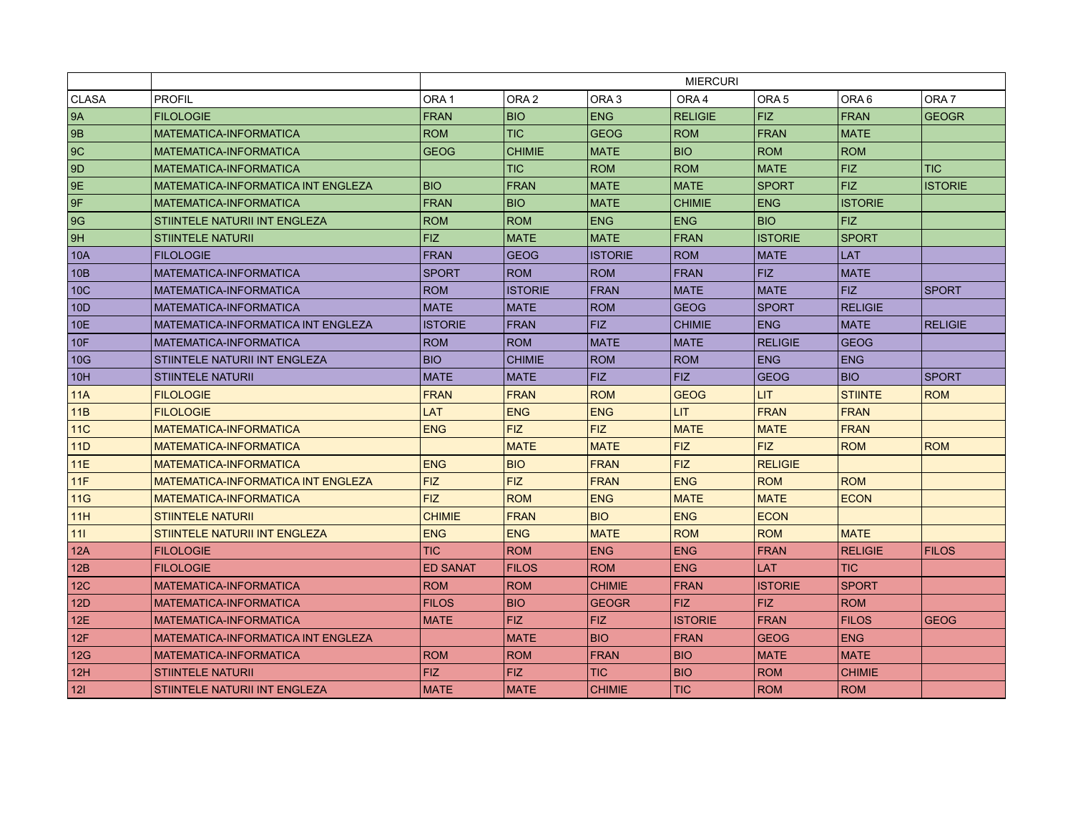|                 |                                           | <b>MIERCURI</b>  |                  |                  |                  |                  |                  |                  |
|-----------------|-------------------------------------------|------------------|------------------|------------------|------------------|------------------|------------------|------------------|
| <b>CLASA</b>    | <b>PROFIL</b>                             | ORA <sub>1</sub> | ORA <sub>2</sub> | ORA <sub>3</sub> | ORA <sub>4</sub> | ORA <sub>5</sub> | ORA <sub>6</sub> | ORA <sub>7</sub> |
| 9A              | <b>FILOLOGIE</b>                          | <b>FRAN</b>      | <b>BIO</b>       | <b>ENG</b>       | <b>RELIGIE</b>   | <b>FIZ</b>       | <b>FRAN</b>      | <b>GEOGR</b>     |
| <b>9B</b>       | MATEMATICA-INFORMATICA                    | <b>ROM</b>       | TIC              | <b>GEOG</b>      | <b>ROM</b>       | <b>FRAN</b>      | <b>MATE</b>      |                  |
| 9C              | MATEMATICA-INFORMATICA                    | <b>GEOG</b>      | <b>CHIMIE</b>    | <b>MATE</b>      | <b>BIO</b>       | <b>ROM</b>       | <b>ROM</b>       |                  |
| 9 <sub>D</sub>  | MATEMATICA-INFORMATICA                    |                  | <b>TIC</b>       | <b>ROM</b>       | <b>ROM</b>       | <b>MATE</b>      | <b>FIZ</b>       | <b>TIC</b>       |
| 9E              | <b>MATEMATICA-INFORMATICA INT ENGLEZA</b> | <b>BIO</b>       | <b>FRAN</b>      | <b>MATE</b>      | <b>MATE</b>      | <b>SPORT</b>     | <b>FIZ</b>       | <b>ISTORIE</b>   |
| 9F              | MATEMATICA-INFORMATICA                    | <b>FRAN</b>      | <b>BIO</b>       | <b>MATE</b>      | <b>CHIMIE</b>    | <b>ENG</b>       | <b>ISTORIE</b>   |                  |
| 9G              | STIINTELE NATURII INT ENGLEZA             | <b>ROM</b>       | <b>ROM</b>       | <b>ENG</b>       | <b>ENG</b>       | BIO              | <b>FIZ</b>       |                  |
| 9H              | <b>STIINTELE NATURII</b>                  | <b>FIZ</b>       | <b>MATE</b>      | <b>MATE</b>      | <b>FRAN</b>      | <b>ISTORIE</b>   | <b>SPORT</b>     |                  |
| 10A             | <b>FILOLOGIE</b>                          | <b>FRAN</b>      | <b>GEOG</b>      | <b>ISTORIE</b>   | <b>ROM</b>       | <b>MATE</b>      | <b>LAT</b>       |                  |
| 10B             | MATEMATICA-INFORMATICA                    | <b>SPORT</b>     | <b>ROM</b>       | <b>ROM</b>       | <b>FRAN</b>      | <b>FIZ</b>       | <b>MATE</b>      |                  |
| 10 <sub>C</sub> | MATEMATICA-INFORMATICA                    | <b>ROM</b>       | <b>ISTORIE</b>   | <b>FRAN</b>      | <b>MATE</b>      | <b>MATE</b>      | <b>FIZ</b>       | <b>SPORT</b>     |
| 10 <sub>D</sub> | MATEMATICA-INFORMATICA                    | <b>MATE</b>      | <b>MATE</b>      | <b>ROM</b>       | <b>GEOG</b>      | <b>SPORT</b>     | <b>RELIGIE</b>   |                  |
| 10E             | <b>MATEMATICA-INFORMATICA INT ENGLEZA</b> | <b>ISTORIE</b>   | <b>FRAN</b>      | <b>FIZ</b>       | <b>CHIMIE</b>    | <b>ENG</b>       | <b>MATE</b>      | <b>RELIGIE</b>   |
| 10 <sub>F</sub> | MATEMATICA-INFORMATICA                    | <b>ROM</b>       | <b>ROM</b>       | <b>MATE</b>      | <b>MATE</b>      | <b>RELIGIE</b>   | <b>GEOG</b>      |                  |
| 10G             | STIINTELE NATURII INT ENGLEZA             | <b>BIO</b>       | <b>CHIMIE</b>    | <b>ROM</b>       | <b>ROM</b>       | <b>ENG</b>       | <b>ENG</b>       |                  |
| 10H             | <b>STIINTELE NATURII</b>                  | <b>MATE</b>      | <b>MATE</b>      | <b>FIZ</b>       | FIZ              | <b>GEOG</b>      | <b>BIO</b>       | <b>SPORT</b>     |
| 11A             | <b>FILOLOGIE</b>                          | <b>FRAN</b>      | <b>FRAN</b>      | <b>ROM</b>       | <b>GEOG</b>      | <b>LIT</b>       | <b>STIINTE</b>   | <b>ROM</b>       |
| 11B             | <b>FILOLOGIE</b>                          | LAT              | <b>ENG</b>       | <b>ENG</b>       | <b>LIT</b>       | <b>FRAN</b>      | <b>FRAN</b>      |                  |
| 11C             | <b>MATEMATICA-INFORMATICA</b>             | <b>ENG</b>       | <b>FIZ</b>       | <b>FIZ</b>       | <b>MATE</b>      | <b>MATE</b>      | FRAN             |                  |
| 11D             | MATEMATICA-INFORMATICA                    |                  | <b>MATE</b>      | <b>MATE</b>      | <b>FIZ</b>       | FIZ              | <b>ROM</b>       | <b>ROM</b>       |
| 11E             | <b>MATEMATICA-INFORMATICA</b>             | <b>ENG</b>       | <b>BIO</b>       | <b>FRAN</b>      | <b>FIZ</b>       | <b>RELIGIE</b>   |                  |                  |
| 11F             | <b>MATEMATICA-INFORMATICA INT ENGLEZA</b> | <b>FIZ</b>       | <b>FIZ</b>       | <b>FRAN</b>      | <b>ENG</b>       | <b>ROM</b>       | <b>ROM</b>       |                  |
| 11G             | <b>MATEMATICA-INFORMATICA</b>             | <b>FIZ</b>       | <b>ROM</b>       | <b>ENG</b>       | <b>MATE</b>      | <b>MATE</b>      | <b>ECON</b>      |                  |
| 11H             | <b>STIINTELE NATURII</b>                  | <b>CHIMIE</b>    | <b>FRAN</b>      | <b>BIO</b>       | <b>ENG</b>       | <b>ECON</b>      |                  |                  |
| 111             | <b>STIINTELE NATURII INT ENGLEZA</b>      | <b>ENG</b>       | <b>ENG</b>       | <b>MATE</b>      | <b>ROM</b>       | <b>ROM</b>       | <b>MATE</b>      |                  |
| 12A             | <b>FILOLOGIE</b>                          | <b>TIC</b>       | <b>ROM</b>       | <b>ENG</b>       | <b>ENG</b>       | <b>FRAN</b>      | <b>RELIGIE</b>   | <b>FILOS</b>     |
| 12B             | <b>FILOLOGIE</b>                          | <b>ED SANAT</b>  | <b>FILOS</b>     | <b>ROM</b>       | <b>ENG</b>       | <b>LAT</b>       | <b>TIC</b>       |                  |
| 12 <sub>C</sub> | <b>MATEMATICA-INFORMATICA</b>             | <b>ROM</b>       | <b>ROM</b>       | <b>CHIMIE</b>    | <b>FRAN</b>      | <b>ISTORIE</b>   | <b>SPORT</b>     |                  |
| 12D             | <b>MATEMATICA-INFORMATICA</b>             | <b>FILOS</b>     | <b>BIO</b>       | <b>GEOGR</b>     | <b>FIZ</b>       | <b>FIZ</b>       | <b>ROM</b>       |                  |
| 12E             | <b>MATEMATICA-INFORMATICA</b>             | <b>MATE</b>      | <b>FIZ</b>       | <b>FIZ</b>       | <b>ISTORIE</b>   | <b>FRAN</b>      | <b>FILOS</b>     | <b>GEOG</b>      |
| 12F             | <b>MATEMATICA-INFORMATICA INT ENGLEZA</b> |                  | <b>MATE</b>      | <b>BIO</b>       | <b>FRAN</b>      | <b>GEOG</b>      | <b>ENG</b>       |                  |
| 12G             | MATEMATICA-INFORMATICA                    | <b>ROM</b>       | <b>ROM</b>       | <b>FRAN</b>      | <b>BIO</b>       | <b>MATE</b>      | <b>MATE</b>      |                  |
| 12H             | <b>STIINTELE NATURII</b>                  | <b>FIZ</b>       | <b>FIZ</b>       | <b>TIC</b>       | <b>BIO</b>       | <b>ROM</b>       | <b>CHIMIE</b>    |                  |
| 121             | STIINTELE NATURII INT ENGLEZA             | <b>MATE</b>      | <b>MATE</b>      | <b>CHIMIE</b>    | <b>TIC</b>       | <b>ROM</b>       | <b>ROM</b>       |                  |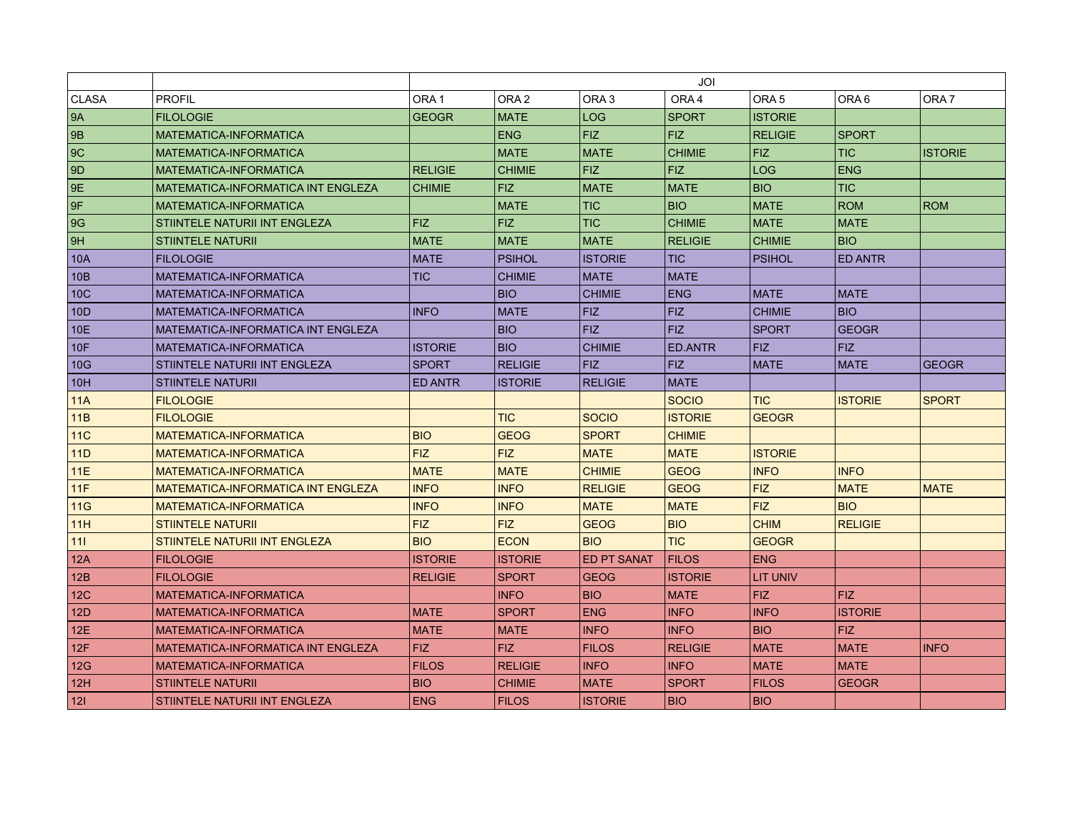|                 |                                           | JOI              |                  |                    |                |                  |                |                  |
|-----------------|-------------------------------------------|------------------|------------------|--------------------|----------------|------------------|----------------|------------------|
| <b>CLASA</b>    | <b>PROFIL</b>                             | ORA <sub>1</sub> | ORA <sub>2</sub> | ORA <sub>3</sub>   | ORA4           | ORA <sub>5</sub> | ORA 6          | ORA <sub>7</sub> |
| <b>9A</b>       | <b>FILOLOGIE</b>                          | <b>GEOGR</b>     | <b>MATE</b>      | <b>LOG</b>         | <b>SPORT</b>   | <b>ISTORIE</b>   |                |                  |
| <b>9B</b>       | MATEMATICA-INFORMATICA                    |                  | <b>ENG</b>       | <b>FIZ</b>         | <b>FIZ</b>     | <b>RELIGIE</b>   | <b>SPORT</b>   |                  |
| 9C              | MATEMATICA-INFORMATICA                    |                  | <b>MATE</b>      | <b>MATE</b>        | <b>CHIMIE</b>  | <b>FIZ</b>       | <b>TIC</b>     | <b>ISTORIE</b>   |
| 9D              | MATEMATICA-INFORMATICA                    | <b>RELIGIE</b>   | <b>CHIMIE</b>    | <b>FIZ</b>         | <b>FIZ</b>     | <b>LOG</b>       | <b>ENG</b>     |                  |
| 9E              | MATEMATICA-INFORMATICA INT ENGLEZA        | <b>CHIMIE</b>    | <b>FIZ</b>       | <b>MATE</b>        | <b>MATE</b>    | <b>BIO</b>       | <b>TIC</b>     |                  |
| 9F              | MATEMATICA-INFORMATICA                    |                  | <b>MATE</b>      | <b>TIC</b>         | <b>BIO</b>     | <b>MATE</b>      | <b>ROM</b>     | <b>ROM</b>       |
| 9G              | STIINTELE NATURII INT ENGLEZA             | <b>FIZ</b>       | <b>FIZ</b>       | TIC                | <b>CHIMIE</b>  | <b>MATE</b>      | <b>MATE</b>    |                  |
| 9H              | <b>STIINTELE NATURII</b>                  | <b>MATE</b>      | <b>MATE</b>      | <b>MATE</b>        | <b>RELIGIE</b> | <b>CHIMIE</b>    | <b>BIO</b>     |                  |
| 10A             | <b>FILOLOGIE</b>                          | <b>MATE</b>      | <b>PSIHOL</b>    | <b>ISTORIE</b>     | <b>TIC</b>     | <b>PSIHOL</b>    | <b>ED ANTR</b> |                  |
| 10B             | MATEMATICA-INFORMATICA                    | <b>TIC</b>       | <b>CHIMIE</b>    | MATE               | <b>MATE</b>    |                  |                |                  |
| 10 <sup>C</sup> | MATEMATICA-INFORMATICA                    |                  | <b>BIO</b>       | <b>CHIMIE</b>      | <b>ENG</b>     | <b>MATE</b>      | <b>MATE</b>    |                  |
| 10 <sub>D</sub> | MATEMATICA-INFORMATICA                    | <b>INFO</b>      | <b>MATE</b>      | <b>FIZ</b>         | <b>FIZ</b>     | <b>CHIMIE</b>    | <b>BIO</b>     |                  |
| 10E             | MATEMATICA-INFORMATICA INT ENGLEZA        |                  | <b>BIO</b>       | <b>FIZ</b>         | <b>FIZ</b>     | <b>SPORT</b>     | <b>GEOGR</b>   |                  |
| 10F             | MATEMATICA-INFORMATICA                    | <b>ISTORIE</b>   | <b>BIO</b>       | <b>CHIMIE</b>      | ED.ANTR        | <b>FIZ</b>       | <b>FIZ</b>     |                  |
| 10G             | STIINTELE NATURII INT ENGLEZA             | <b>SPORT</b>     | <b>RELIGIE</b>   | <b>FIZ</b>         | <b>FIZ</b>     | <b>MATE</b>      | <b>MATE</b>    | <b>GEOGR</b>     |
| 10H             | <b>STIINTELE NATURII</b>                  | <b>ED ANTR</b>   | <b>ISTORIE</b>   | <b>RELIGIE</b>     | <b>MATE</b>    |                  |                |                  |
| 11A             | <b>FILOLOGIE</b>                          |                  |                  |                    | <b>SOCIO</b>   | <b>TIC</b>       | <b>ISTORIE</b> | <b>SPORT</b>     |
| 11B             | <b>FILOLOGIE</b>                          |                  | <b>TIC</b>       | <b>SOCIO</b>       | <b>ISTORIE</b> | <b>GEOGR</b>     |                |                  |
| 11C             | MATEMATICA-INFORMATICA                    | <b>BIO</b>       | <b>GEOG</b>      | <b>SPORT</b>       | <b>CHIMIE</b>  |                  |                |                  |
| 11D             | <b>MATEMATICA-INFORMATICA</b>             | <b>FIZ</b>       | <b>FIZ</b>       | <b>MATE</b>        | <b>MATE</b>    | <b>ISTORIE</b>   |                |                  |
| 11E             | MATEMATICA-INFORMATICA                    | <b>MATE</b>      | <b>MATE</b>      | <b>CHIMIE</b>      | <b>GEOG</b>    | <b>INFO</b>      | <b>INFO</b>    |                  |
| 11F             | <b>MATEMATICA-INFORMATICA INT ENGLEZA</b> | <b>INFO</b>      | <b>INFO</b>      | <b>RELIGIE</b>     | <b>GEOG</b>    | <b>FIZ</b>       | <b>MATE</b>    | <b>MATE</b>      |
| 11G             | <b>MATEMATICA-INFORMATICA</b>             | <b>INFO</b>      | <b>INFO</b>      | <b>MATE</b>        | <b>MATE</b>    | <b>FIZ</b>       | <b>BIO</b>     |                  |
| 11H             | <b>STIINTELE NATURII</b>                  | <b>FIZ</b>       | <b>FIZ</b>       | <b>GEOG</b>        | <b>BIO</b>     | <b>CHIM</b>      | <b>RELIGIE</b> |                  |
| 111             | <b>STIINTELE NATURII INT ENGLEZA</b>      | <b>BIO</b>       | <b>ECON</b>      | <b>BIO</b>         | <b>TIC</b>     | <b>GEOGR</b>     |                |                  |
| 12A             | <b>FILOLOGIE</b>                          | <b>ISTORIE</b>   | <b>ISTORIE</b>   | <b>ED PT SANAT</b> | <b>FILOS</b>   | <b>ENG</b>       |                |                  |
| 12B             | <b>FILOLOGIE</b>                          | <b>RELIGIE</b>   | <b>SPORT</b>     | <b>GEOG</b>        | <b>ISTORIE</b> | <b>LIT UNIV</b>  |                |                  |
| 12 <sub>C</sub> | <b>MATEMATICA-INFORMATICA</b>             |                  | <b>INFO</b>      | <b>BIO</b>         | <b>MATE</b>    | <b>FIZ</b>       | <b>FIZ</b>     |                  |
| 12D             | MATEMATICA-INFORMATICA                    | <b>MATE</b>      | <b>SPORT</b>     | <b>ENG</b>         | <b>INFO</b>    | <b>INFO</b>      | <b>ISTORIE</b> |                  |
| 12E             | MATEMATICA-INFORMATICA                    | <b>MATE</b>      | <b>MATE</b>      | <b>INFO</b>        | <b>INFO</b>    | <b>BIO</b>       | <b>FIZ</b>     |                  |
| 12F             | <b>MATEMATICA-INFORMATICA INT ENGLEZA</b> | FIZ.             | <b>FIZ</b>       | <b>FILOS</b>       | <b>RELIGIE</b> | <b>MATE</b>      | <b>MATE</b>    | <b>INFO</b>      |
| 12G             | MATEMATICA-INFORMATICA                    | <b>FILOS</b>     | <b>RELIGIE</b>   | <b>INFO</b>        | <b>INFO</b>    | <b>MATE</b>      | <b>MATE</b>    |                  |
| 12H             | <b>STIINTELE NATURII</b>                  | <b>BIO</b>       | <b>CHIMIE</b>    | <b>MATE</b>        | <b>SPORT</b>   | <b>FILOS</b>     | <b>GEOGR</b>   |                  |
| 121             | STIINTELE NATURII INT ENGLEZA             | <b>ENG</b>       | <b>FILOS</b>     | <b>ISTORIE</b>     | <b>BIO</b>     | <b>BIO</b>       |                |                  |